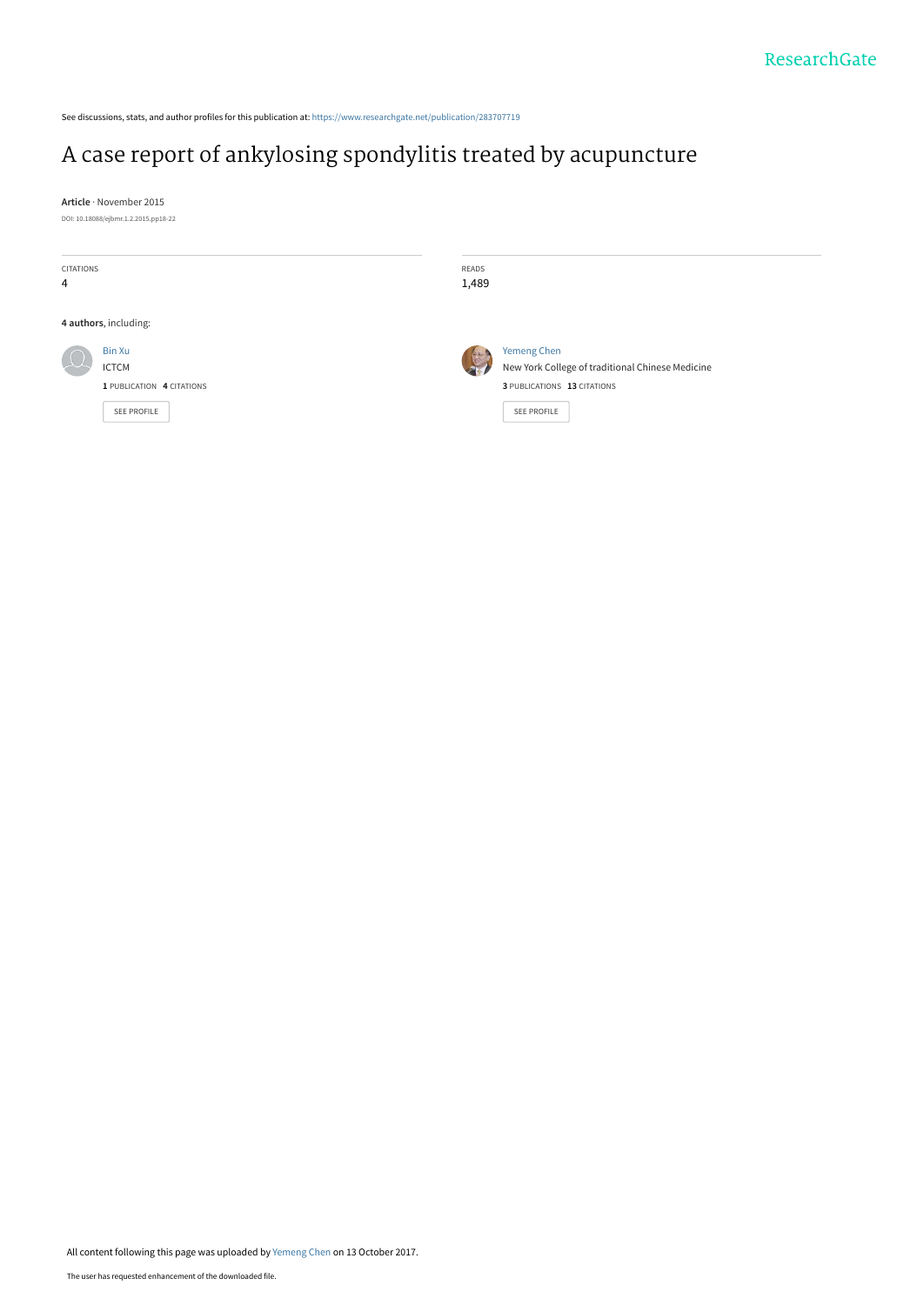See discussions, stats, and author profiles for this publication at: [https://www.researchgate.net/publication/283707719](https://www.researchgate.net/publication/283707719_A_case_report_of_ankylosing_spondylitis_treated_by_acupuncture?enrichId=rgreq-5a725a4f49c1599f5a4a4be84523cb48-XXX&enrichSource=Y292ZXJQYWdlOzI4MzcwNzcxOTtBUzo1NDkxMjk2ODUzNDQyNTZAMTUwNzkzNDEyNzcwMQ%3D%3D&el=1_x_2&_esc=publicationCoverPdf)

# [A case report of ankylosing spondylitis treated by acupuncture](https://www.researchgate.net/publication/283707719_A_case_report_of_ankylosing_spondylitis_treated_by_acupuncture?enrichId=rgreq-5a725a4f49c1599f5a4a4be84523cb48-XXX&enrichSource=Y292ZXJQYWdlOzI4MzcwNzcxOTtBUzo1NDkxMjk2ODUzNDQyNTZAMTUwNzkzNDEyNzcwMQ%3D%3D&el=1_x_3&_esc=publicationCoverPdf)

**Article** · November 2015 DOI: 10.18088/ejbmr.1.2.2015.pp18-22

| <b>CITATIONS</b><br>4 |                                                                           | READS<br>1,489 |                                                                                                                      |
|-----------------------|---------------------------------------------------------------------------|----------------|----------------------------------------------------------------------------------------------------------------------|
|                       | 4 authors, including:                                                     |                |                                                                                                                      |
|                       | Bin Xu<br><b>ICTCM</b><br>1 PUBLICATION 4 CITATIONS<br><b>SEE PROFILE</b> | 传<br>21        | <b>Yemeng Chen</b><br>New York College of traditional Chinese Medicine<br>3 PUBLICATIONS 13 CITATIONS<br>SEE PROFILE |

All content following this page was uploaded by [Yemeng Chen](https://www.researchgate.net/profile/Yemeng_Chen2?enrichId=rgreq-5a725a4f49c1599f5a4a4be84523cb48-XXX&enrichSource=Y292ZXJQYWdlOzI4MzcwNzcxOTtBUzo1NDkxMjk2ODUzNDQyNTZAMTUwNzkzNDEyNzcwMQ%3D%3D&el=1_x_10&_esc=publicationCoverPdf) on 13 October 2017.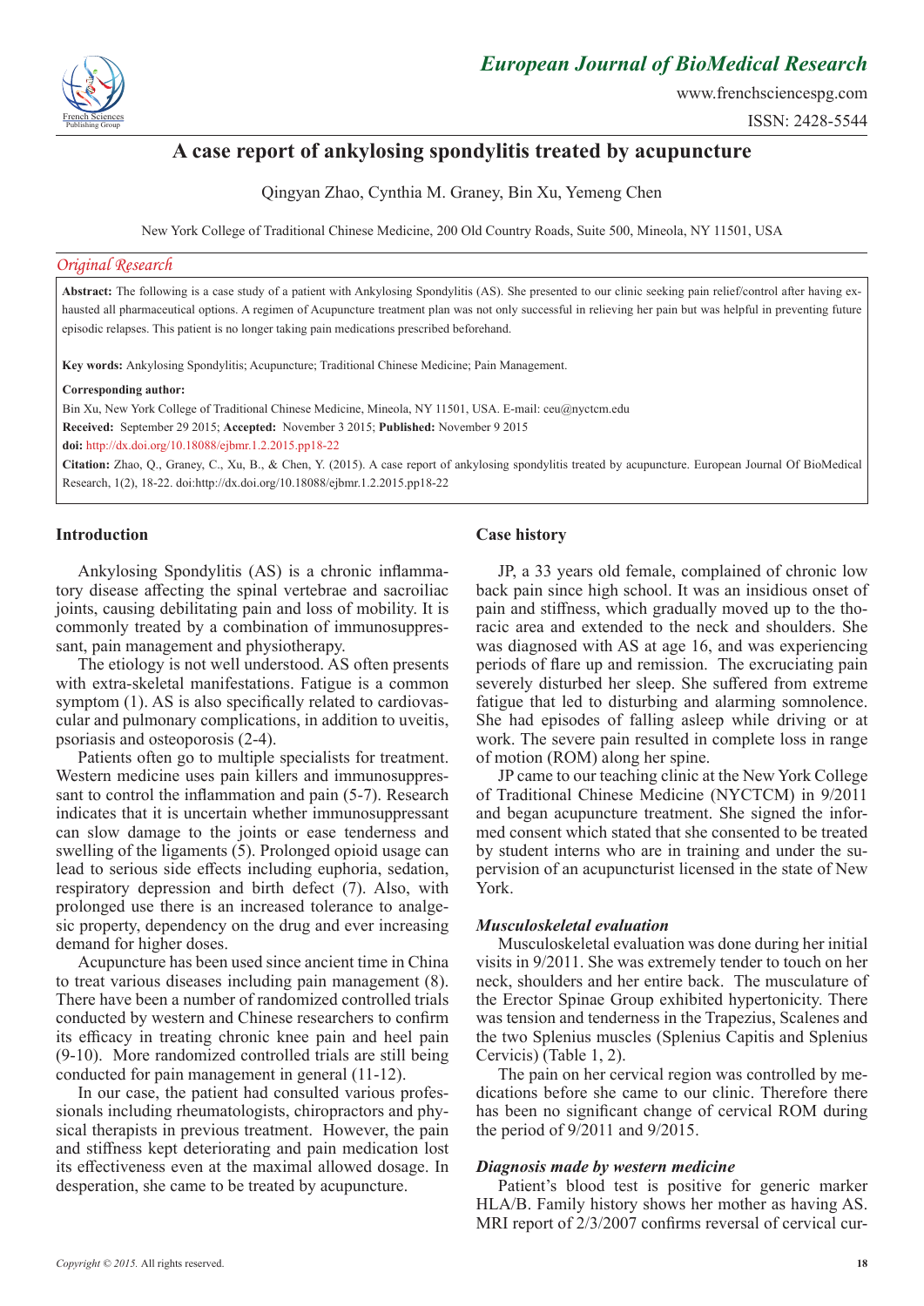

www.frenchsciencespg.com

ISSN: 2428-5544

## **A case report of ankylosing spondylitis treated by acupuncture**

Qingyan Zhao, Cynthia M. Graney, Bin Xu, Yemeng Chen

New York College of Traditional Chinese Medicine, 200 Old Country Roads, Suite 500, Mineola, NY 11501, USA

#### *Original Research*

**Abstract:** The following is a case study of a patient with Ankylosing Spondylitis (AS). She presented to our clinic seeking pain relief/control after having exhausted all pharmaceutical options. A regimen of Acupuncture treatment plan was not only successful in relieving her pain but was helpful in preventing future episodic relapses. This patient is no longer taking pain medications prescribed beforehand.

**Key words:** Ankylosing Spondylitis; Acupuncture; Traditional Chinese Medicine; Pain Management.

#### **Corresponding author:**

Bin Xu, New York College of Traditional Chinese Medicine, Mineola, NY 11501, USA. E-mail: ceu@nyctcm.edu

**Received:** September 29 2015; **Accepted:** November 3 2015; **Published:** November 9 2015

**doi:** http://dx.doi.org/10.18088/ejbmr.1.2.2015.pp18-22

**Citation:** Zhao, Q., Graney, C., Xu, B., & Chen, Y. (2015). A case report of ankylosing spondylitis treated by acupuncture. European Journal Of BioMedical Research, 1(2), 18-22. doi:http://dx.doi.org/10.18088/ejbmr.1.2.2015.pp18-22

## **Introduction**

Ankylosing Spondylitis (AS) is a chronic inflammatory disease affecting the spinal vertebrae and sacroiliac joints, causing debilitating pain and loss of mobility. It is commonly treated by a combination of immunosuppressant, pain management and physiotherapy.

The etiology is not well understood. AS often presents with extra-skeletal manifestations. Fatigue is a common symptom (1). AS is also specifically related to cardiovascular and pulmonary complications, in addition to uveitis, psoriasis and osteoporosis (2-4).

Patients often go to multiple specialists for treatment. Western medicine uses pain killers and immunosuppressant to control the inflammation and pain (5-7). Research indicates that it is uncertain whether immunosuppressant can slow damage to the joints or ease tenderness and swelling of the ligaments (5). Prolonged opioid usage can lead to serious side effects including euphoria, sedation, respiratory depression and birth defect (7). Also, with prolonged use there is an increased tolerance to analgesic property, dependency on the drug and ever increasing demand for higher doses.

Acupuncture has been used since ancient time in China to treat various diseases including pain management (8). There have been a number of randomized controlled trials conducted by western and Chinese researchers to confirm its efficacy in treating chronic knee pain and heel pain (9-10). More randomized controlled trials are still being conducted for pain management in general (11-12).

In our case, the patient had consulted various professionals including rheumatologists, chiropractors and physical therapists in previous treatment. However, the pain and stiffness kept deteriorating and pain medication lost its effectiveness even at the maximal allowed dosage. In desperation, she came to be treated by acupuncture.

## **Case history**

JP, a 33 years old female, complained of chronic low back pain since high school. It was an insidious onset of pain and stiffness, which gradually moved up to the thoracic area and extended to the neck and shoulders. She was diagnosed with AS at age 16, and was experiencing periods of flare up and remission. The excruciating pain severely disturbed her sleep. She suffered from extreme fatigue that led to disturbing and alarming somnolence. She had episodes of falling asleep while driving or at work. The severe pain resulted in complete loss in range of motion (ROM) along her spine.

JP came to our teaching clinic at the New York College of Traditional Chinese Medicine (NYCTCM) in 9/2011 and began acupuncture treatment. She signed the informed consent which stated that she consented to be treated by student interns who are in training and under the supervision of an acupuncturist licensed in the state of New York.

## *Musculoskeletal evaluation*

Musculoskeletal evaluation was done during her initial visits in 9/2011. She was extremely tender to touch on her neck, shoulders and her entire back. The musculature of the Erector Spinae Group exhibited hypertonicity. There was tension and tenderness in the Trapezius, Scalenes and the two Splenius muscles (Splenius Capitis and Splenius Cervicis) (Table 1, 2).

The pain on her cervical region was controlled by medications before she came to our clinic. Therefore there has been no significant change of cervical ROM during the period of 9/2011 and 9/2015.

## *Diagnosis made by western medicine*

Patient's blood test is positive for generic marker HLA/B. Family history shows her mother as having AS. MRI report of 2/3/2007 confirms reversal of cervical cur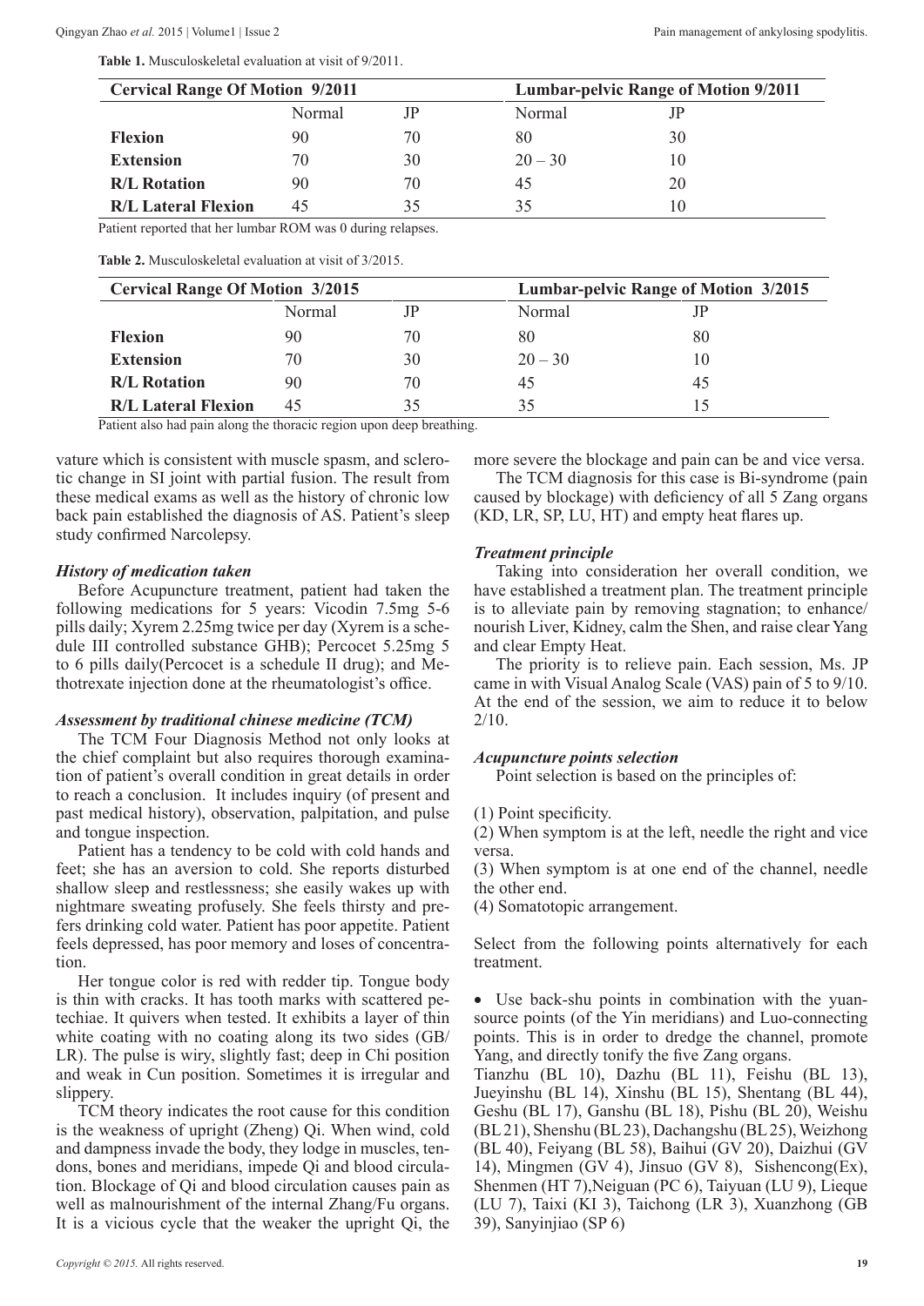**Table 1.** Musculoskeletal evaluation at visit of 9/2011.

| Normal | JР | Normal    |    |
|--------|----|-----------|----|
| 90     | 70 | 80        | 30 |
| 70     | 30 | $20 - 30$ |    |
| 90     | 70 | 45        | 20 |
| 45     | 35 | 35        |    |
|        |    |           |    |

Patient reported that her lumbar ROM was 0 during relapses.

**Table 2.** Musculoskeletal evaluation at visit of 3/2015.

| <b>Cervical Range Of Motion 3/2015</b> |        |    | <b>Lumbar-pelvic Range of Motion 3/2015</b> |    |  |
|----------------------------------------|--------|----|---------------------------------------------|----|--|
|                                        | Normal | JP | Normal                                      |    |  |
| <b>Flexion</b>                         | 90     | 70 | 80                                          | 80 |  |
| <b>Extension</b>                       | 70     | 30 | $20 - 30$                                   |    |  |
| <b>R/L Rotation</b>                    | 90     | 70 | 45                                          | 45 |  |
| <b>R/L Lateral Flexion</b>             | 45     | 35 |                                             |    |  |

Patient also had pain along the thoracic region upon deep breathing.

vature which is consistent with muscle spasm, and sclerotic change in SI joint with partial fusion. The result from these medical exams as well as the history of chronic low back pain established the diagnosis of AS. Patient's sleep study confirmed Narcolepsy.

#### *History of medication taken*

Before Acupuncture treatment, patient had taken the following medications for 5 years: Vicodin 7.5mg 5-6 pills daily; Xyrem 2.25mg twice per day (Xyrem is a schedule III controlled substance GHB); Percocet 5.25mg 5 to 6 pills daily(Percocet is a schedule II drug); and Methotrexate injection done at the rheumatologist's office.

#### *Assessment by traditional chinese medicine (TCM)*

The TCM Four Diagnosis Method not only looks at the chief complaint but also requires thorough examination of patient's overall condition in great details in order to reach a conclusion. It includes inquiry (of present and past medical history), observation, palpitation, and pulse and tongue inspection.

Patient has a tendency to be cold with cold hands and feet; she has an aversion to cold. She reports disturbed shallow sleep and restlessness; she easily wakes up with nightmare sweating profusely. She feels thirsty and prefers drinking cold water. Patient has poor appetite. Patient feels depressed, has poor memory and loses of concentration.

Her tongue color is red with redder tip. Tongue body is thin with cracks. It has tooth marks with scattered petechiae. It quivers when tested. It exhibits a layer of thin white coating with no coating along its two sides (GB/ LR). The pulse is wiry, slightly fast; deep in Chi position and weak in Cun position. Sometimes it is irregular and slippery.

TCM theory indicates the root cause for this condition is the weakness of upright (Zheng) Qi. When wind, cold and dampness invade the body, they lodge in muscles, tendons, bones and meridians, impede Qi and blood circulation. Blockage of Qi and blood circulation causes pain as well as malnourishment of the internal Zhang/Fu organs. It is a vicious cycle that the weaker the upright Qi, the more severe the blockage and pain can be and vice versa.

The TCM diagnosis for this case is Bi-syndrome (pain caused by blockage) with deficiency of all 5 Zang organs (KD, LR, SP, LU, HT) and empty heat flares up.

#### *Treatment principle*

Taking into consideration her overall condition, we have established a treatment plan. The treatment principle is to alleviate pain by removing stagnation; to enhance/ nourish Liver, Kidney, calm the Shen, and raise clear Yang and clear Empty Heat.

The priority is to relieve pain. Each session, Ms. JP came in with Visual Analog Scale (VAS) pain of 5 to 9/10. At the end of the session, we aim to reduce it to below 2/10.

#### *Acupuncture points selection*

Point selection is based on the principles of:

(1) Point specificity.

(2) When symptom is at the left, needle the right and vice versa.

(3) When symptom is at one end of the channel, needle the other end.

(4) Somatotopic arrangement.

Select from the following points alternatively for each treatment.

• Use back-shu points in combination with the yuansource points (of the Yin meridians) and Luo-connecting points. This is in order to dredge the channel, promote Yang, and directly tonify the five Zang organs.

Tianzhu (BL 10), Dazhu (BL 11), Feishu (BL 13), Jueyinshu (BL 14), Xinshu (BL 15), Shentang (BL 44), Geshu (BL 17), Ganshu (BL 18), Pishu (BL 20), Weishu (BL 21), Shenshu (BL 23), Dachangshu (BL 25), Weizhong (BL 40), Feiyang (BL 58), Baihui (GV 20), Daizhui (GV 14), Mingmen (GV 4), Jinsuo (GV 8), Sishencong(Ex), Shenmen (HT 7),Neiguan (PC 6), Taiyuan (LU 9), Lieque (LU 7), Taixi (KI 3), Taichong (LR 3), Xuanzhong (GB 39), Sanyinjiao (SP 6)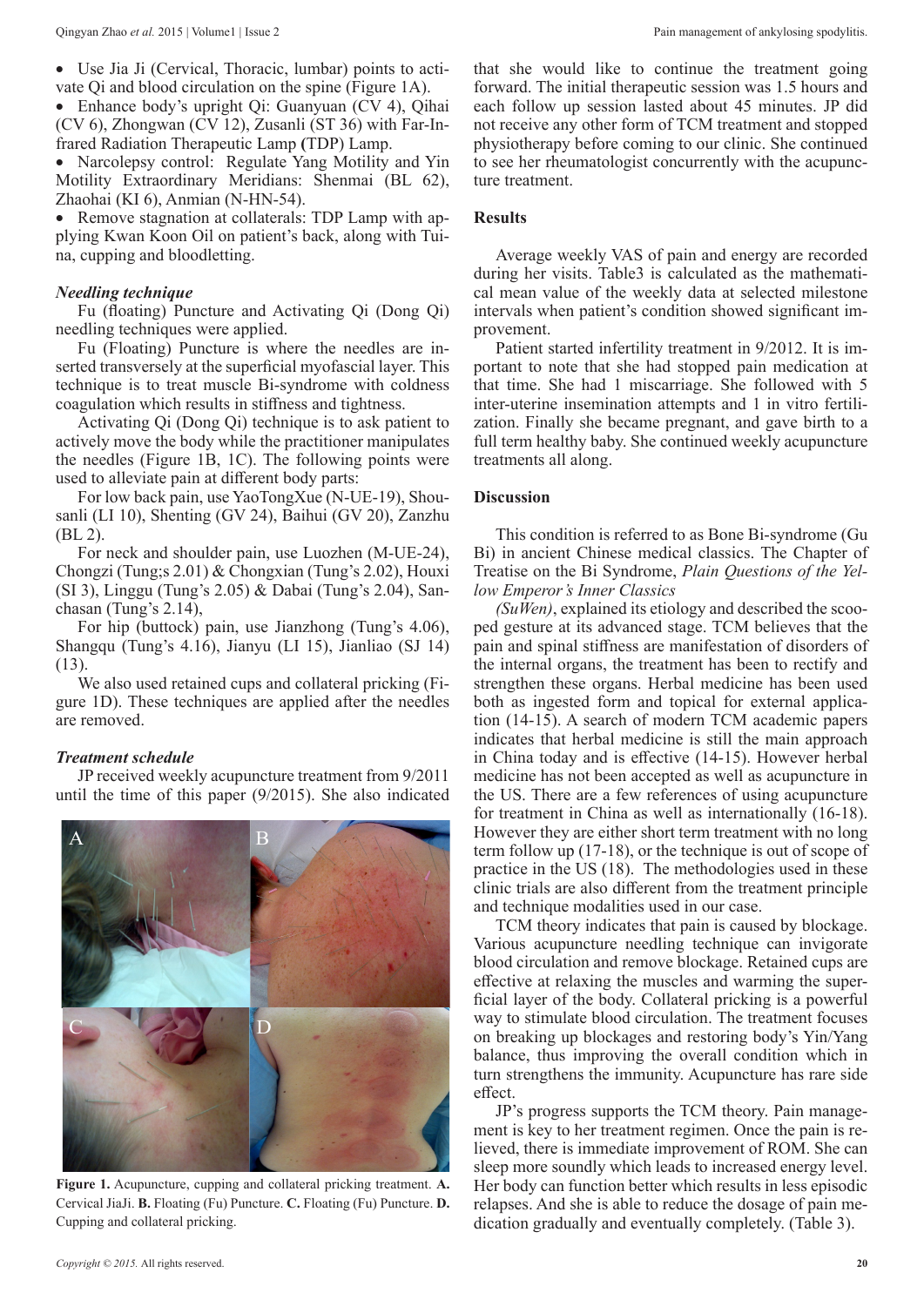Use Jia Ji (Cervical, Thoracic, lumbar) points to activate Qi and blood circulation on the spine (Figure 1A).

• Enhance body's upright Qi: Guanyuan (CV 4), Qihai (CV 6), Zhongwan (CV 12), Zusanli (ST 36) with Far-Infrared Radiation Therapeutic Lamp **(**TDP) Lamp.

• Narcolepsy control: Regulate Yang Motility and Yin Motility Extraordinary Meridians: Shenmai (BL 62), Zhaohai (KI 6), Anmian (N-HN-54).

• Remove stagnation at collaterals: TDP Lamp with applying Kwan Koon Oil on patient's back, along with Tuina, cupping and bloodletting.

#### *Needling technique*

Fu (floating) Puncture and Activating Qi (Dong Qi) needling techniques were applied.

Fu (Floating) Puncture is where the needles are inserted transversely at the superficial myofascial layer. This technique is to treat muscle Bi-syndrome with coldness coagulation which results in stiffness and tightness.

Activating Qi (Dong Qi) technique is to ask patient to actively move the body while the practitioner manipulates the needles (Figure 1B, 1C). The following points were used to alleviate pain at different body parts:

For low back pain, use YaoTongXue (N-UE-19), Shousanli (LI 10), Shenting (GV 24), Baihui (GV 20), Zanzhu (BL 2).

For neck and shoulder pain, use Luozhen (M-UE-24), Chongzi (Tung;s 2.01) & Chongxian (Tung's 2.02), Houxi (SI 3), Linggu (Tung's 2.05) & Dabai (Tung's 2.04), Sanchasan (Tung's 2.14),

For hip (buttock) pain, use Jianzhong (Tung's 4.06), Shangqu (Tung's 4.16), Jianyu (LI 15), Jianliao (SJ 14) (13).

We also used retained cups and collateral pricking (Figure 1D). These techniques are applied after the needles are removed.

## *Treatment schedule*

JP received weekly acupuncture treatment from 9/2011 until the time of this paper (9/2015). She also indicated



**Figure 1.** Acupuncture, cupping and collateral pricking treatment. **A.** Cervical JiaJi. **B.** Floating (Fu) Puncture. **C.** Floating (Fu) Puncture. **D.** Cupping and collateral pricking.

that she would like to continue the treatment going forward. The initial therapeutic session was 1.5 hours and each follow up session lasted about 45 minutes. JP did not receive any other form of TCM treatment and stopped physiotherapy before coming to our clinic. She continued to see her rheumatologist concurrently with the acupuncture treatment.

## **Results**

Average weekly VAS of pain and energy are recorded during her visits. Table3 is calculated as the mathematical mean value of the weekly data at selected milestone intervals when patient's condition showed significant improvement.

Patient started infertility treatment in 9/2012. It is important to note that she had stopped pain medication at that time. She had 1 miscarriage. She followed with 5 inter-uterine insemination attempts and 1 in vitro fertilization. Finally she became pregnant, and gave birth to a full term healthy baby. She continued weekly acupuncture treatments all along.

### **Discussion**

This condition is referred to as Bone Bi-syndrome (Gu Bi) in ancient Chinese medical classics. The Chapter of Treatise on the Bi Syndrome, *Plain Questions of the Yellow Emperor's Inner Classics* 

*(SuWen)*, explained its etiology and described the scooped gesture at its advanced stage. TCM believes that the pain and spinal stiffness are manifestation of disorders of the internal organs, the treatment has been to rectify and strengthen these organs. Herbal medicine has been used both as ingested form and topical for external application (14-15). A search of modern TCM academic papers indicates that herbal medicine is still the main approach in China today and is effective (14-15). However herbal medicine has not been accepted as well as acupuncture in the US. There are a few references of using acupuncture for treatment in China as well as internationally (16-18). However they are either short term treatment with no long term follow up (17-18), or the technique is out of scope of practice in the US (18). The methodologies used in these clinic trials are also different from the treatment principle and technique modalities used in our case.

TCM theory indicates that pain is caused by blockage. Various acupuncture needling technique can invigorate blood circulation and remove blockage. Retained cups are effective at relaxing the muscles and warming the superficial layer of the body. Collateral pricking is a powerful way to stimulate blood circulation. The treatment focuses on breaking up blockages and restoring body's Yin/Yang balance, thus improving the overall condition which in turn strengthens the immunity. Acupuncture has rare side effect.

JP's progress supports the TCM theory. Pain management is key to her treatment regimen. Once the pain is relieved, there is immediate improvement of ROM. She can sleep more soundly which leads to increased energy level. Her body can function better which results in less episodic relapses. And she is able to reduce the dosage of pain medication gradually and eventually completely. (Table 3).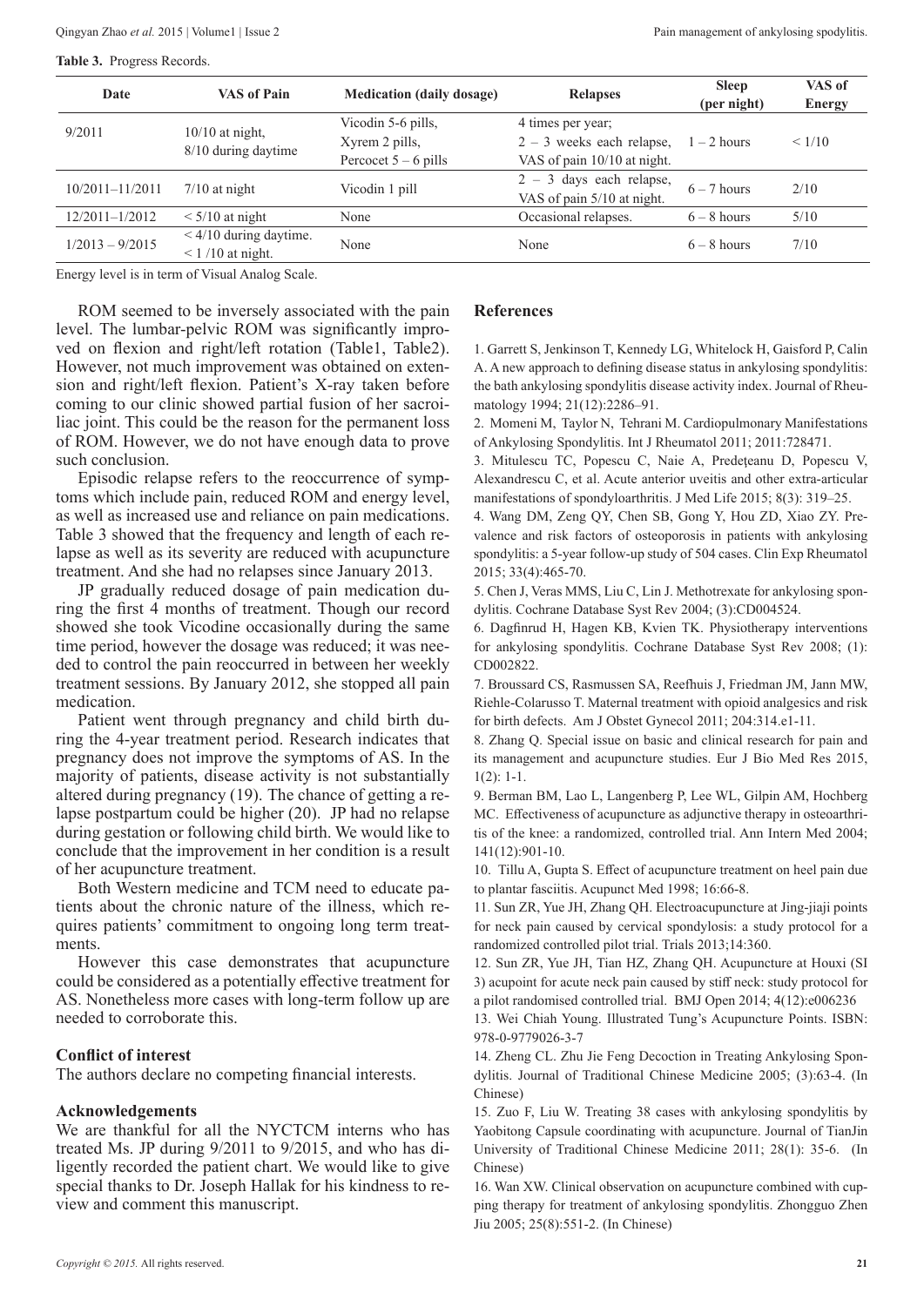**Table 3.** Progress Records.

| Date              | <b>VAS of Pain</b>       | <b>Medication (daily dosage)</b> | <b>Relapses</b>             | <b>Sleep</b>  | VAS of        |
|-------------------|--------------------------|----------------------------------|-----------------------------|---------------|---------------|
|                   |                          |                                  |                             | (per night)   | <b>Energy</b> |
| 9/2011            | $10/10$ at night,        | Vicodin 5-6 pills,               | 4 times per year;           |               |               |
|                   |                          | Xyrem 2 pills,                   | $2 - 3$ weeks each relapse, | $1 - 2$ hours | < 1/10        |
|                   | 8/10 during daytime      | Percocet $5 - 6$ pills           | VAS of pain 10/10 at night. |               |               |
| 10/2011-11/2011   | $7/10$ at night          | Vicodin 1 pill                   | $2 - 3$ days each relapse,  | $6 - 7$ hours | 2/10          |
|                   |                          |                                  | VAS of pain 5/10 at night.  |               |               |
| 12/2011-1/2012    | $\leq 5/10$ at night     | None                             | Occasional relapses.        | $6 - 8$ hours | 5/10          |
| $1/2013 - 9/2015$ | $< 4/10$ during daytime. | None                             | None                        | $6 - 8$ hours | 7/10          |
|                   | $\leq$ 1/10 at night.    |                                  |                             |               |               |

Energy level is in term of Visual Analog Scale.

ROM seemed to be inversely associated with the pain level. The lumbar-pelvic ROM was significantly improved on flexion and right/left rotation (Table1, Table2). However, not much improvement was obtained on extension and right/left flexion. Patient's X-ray taken before coming to our clinic showed partial fusion of her sacroiliac joint. This could be the reason for the permanent loss of ROM. However, we do not have enough data to prove such conclusion.

Episodic relapse refers to the reoccurrence of symptoms which include pain, reduced ROM and energy level, as well as increased use and reliance on pain medications. Table 3 showed that the frequency and length of each relapse as well as its severity are reduced with acupuncture treatment. And she had no relapses since January 2013.

JP gradually reduced dosage of pain medication during the first 4 months of treatment. Though our record showed she took Vicodine occasionally during the same time period, however the dosage was reduced; it was needed to control the pain reoccurred in between her weekly treatment sessions. By January 2012, she stopped all pain medication.

Patient went through pregnancy and child birth during the 4-year treatment period. Research indicates that pregnancy does not improve the symptoms of AS. In the majority of patients, disease activity is not substantially altered during pregnancy (19). The chance of getting a relapse postpartum could be higher (20). JP had no relapse during gestation or following child birth. We would like to conclude that the improvement in her condition is a result of her acupuncture treatment.

Both Western medicine and TCM need to educate patients about the chronic nature of the illness, which requires patients' commitment to ongoing long term treatments.

However this case demonstrates that acupuncture could be considered as a potentially effective treatment for AS. Nonetheless more cases with long-term follow up are needed to corroborate this.

## **Conflict of interest**

The authors declare no competing financial interests.

#### **Acknowledgements**

We are thankful for all the NYCTCM interns who has treated Ms. JP during 9/2011 to 9/2015, and who has diligently recorded the patient chart. We would like to give special thanks to Dr. Joseph Hallak for his kindness to review and comment this manuscript.

#### **References**

1. Garrett S, Jenkinson T, Kennedy LG, Whitelock H, Gaisford P, Calin A. A new approach to defining disease status in ankylosing spondylitis: the bath ankylosing spondylitis disease activity index. Journal of Rheumatology 1994; 21(12):2286–91.

2. Momeni M, Taylor N, Tehrani M. Cardiopulmonary Manifestations of Ankylosing Spondylitis. Int J Rheumatol 2011; 2011:728471.

3. Mitulescu TC, Popescu C, Naie A, Predeţeanu D, Popescu V, Alexandrescu C, et al. Acute anterior uveitis and other extra-articular manifestations of spondyloarthritis. J Med Life 2015; 8(3): 319–25.

4. Wang DM, Zeng QY, Chen SB, Gong Y, Hou ZD, Xiao ZY. Prevalence and risk factors of osteoporosis in patients with ankylosing spondylitis: a 5-year follow-up study of 504 cases. Clin Exp Rheumatol 2015; 33(4):465-70.

5. Chen J, Veras MMS, Liu C, Lin J. Methotrexate for ankylosing spondylitis. Cochrane Database Syst Rev 2004; (3):CD004524.

6. Dagfinrud H, Hagen KB, Kvien TK. Physiotherapy interventions for ankylosing spondylitis. Cochrane Database Syst Rev 2008; (1): CD002822.

7. Broussard CS, Rasmussen SA, Reefhuis J, Friedman JM, Jann MW, Riehle-Colarusso T. Maternal treatment with opioid analgesics and risk for birth defects. Am J Obstet Gynecol 2011; 204:314.e1-11.

8. Zhang Q. Special issue on basic and clinical research for pain and its management and acupuncture studies. Eur J Bio Med Res 2015, 1(2): 1-1.

9. Berman BM, Lao L, Langenberg P, Lee WL, Gilpin AM, Hochberg MC. Effectiveness of acupuncture as adjunctive therapy in osteoarthritis of the knee: a randomized, controlled trial. Ann Intern Med 2004; 141(12):901-10.

10. Tillu A, Gupta S. Effect of acupuncture treatment on heel pain due to plantar fasciitis. Acupunct Med 1998; 16:66-8.

11. Sun ZR, Yue JH, Zhang QH. Electroacupuncture at Jing-jiaji points for neck pain caused by cervical spondylosis: a study protocol for a randomized controlled pilot trial. Trials 2013;14:360.

12. Sun ZR, Yue JH, Tian HZ, Zhang QH. Acupuncture at Houxi (SI 3) acupoint for acute neck pain caused by stiff neck: study protocol for a pilot randomised controlled trial. BMJ Open 2014; 4(12):e006236

13. Wei Chiah Young. Illustrated Tung's Acupuncture Points. ISBN: 978-0-9779026-3-7

14. Zheng CL. Zhu Jie Feng Decoction in Treating Ankylosing Spondylitis. Journal of Traditional Chinese Medicine 2005; (3):63-4. (In Chinese)

15. Zuo F, Liu W. Treating 38 cases with ankylosing spondylitis by Yaobitong Capsule coordinating with acupuncture. Journal of TianJin University of Traditional Chinese Medicine 2011; 28(1): 35-6. (In Chinese)

16. Wan XW. Clinical observation on acupuncture combined with cupping therapy for treatment of ankylosing spondylitis. Zhongguo Zhen Jiu 2005; 25(8):551-2. (In Chinese)